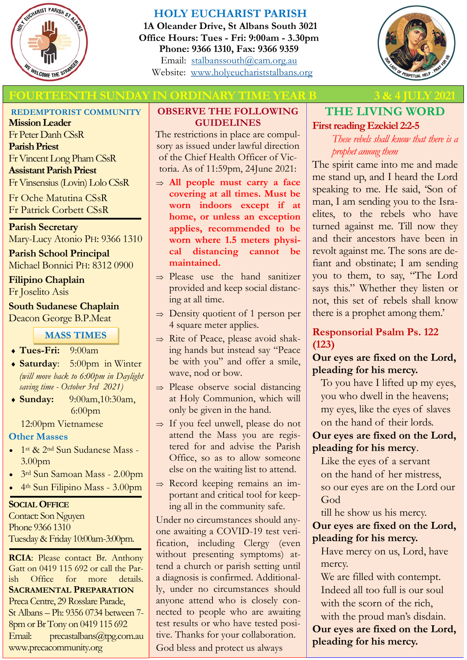

# **HOLY EUCHARIST PARISH**

**1A Oleander Drive, St Albans South 3021 Office Hours: Tues - Fri: 9:00am - 3.30pm Phone: 9366 1310, Fax: 9366 9359** Email: [stalbanssouth@cam.org.au](mailto:stalbanssouth@cam.org.au) Website:[www.holyeuchariststalbans.org](http://www.holyeuchariststalbans.org)



# **FOURTEENTH SUNDAY IN ORDINARY TIME YEAR B** 3 & 4 JULY 202

**REDEMPTORIST COMMUNITY**

**Mission Leader** Fr Peter Danh CSsR **Parish Priest** Fr Vincent Long Pham CSsR **Assistant Parish Priest**  Fr Vinsensius (Lovin) Lolo CSsR

Fr Oche Matutina CSsR Fr Patrick Corbett CSsR

**Parish Secretary** Mary-Lucy Atonio PH: 9366 1310

**Parish School Principal** Michael Bonnici PH: 8312 0900

**Filipino Chaplain** Fr Joselito Asis

**South Sudanese Chaplain** Deacon George B.P.Meat

#### **MASS TIMES**

- **Tues-Fri:** 9:00am
- **Saturday**: 5:00pm in Winter *(will move back to 6:00pm in Daylight saving time - October 3rd 2021)*
- **Sunday:** 9:00am,10:30am, 6:00pm

12:00pm Vietnamese

#### **Other Masses**

- 1st & 2<sup>nd</sup> Sun Sudanese Mass -3.00pm
- 3rd Sun Samoan Mass 2.00pm
- 4th Sun Filipino Mass 3.00pm

#### **SOCIAL OFFICE**

Contact: Son Nguyen Phone 9366 1310 Tuesday & Friday 10:00am-3:00pm.

**RCIA**: Please contact Br. Anthony Gatt on 0419 115 692 or call the Parish Office for more details. **SACRAMENTAL PREPARATION** Preca Centre, 29 Rosslare Parade, St Albans – Ph: 9356 0734 between 7- 8pm or Br Tony on 0419 115 692 Email: precastalbans@tpg.com.au www.precacommunity.org

#### **OBSERVE THE FOLLOWING GUIDELINES**

The restrictions in place are compulsory as issued under lawful direction of the Chief Health Officer of Victoria. As of 11:59pm, 24June 2021:

- **All people must carry a face covering at all times. Must be worn indoors except if at home, or unless an exception applies, recommended to be worn where 1.5 meters physical distancing cannot be maintained.**
- $\Rightarrow$  Please use the hand sanitizer provided and keep social distancing at all time.
- $\Rightarrow$  Density quotient of 1 person per 4 square meter applies.
- $\Rightarrow$  Rite of Peace, please avoid shaking hands but instead say "Peace be with you" and offer a smile, wave, nod or bow.
- $\Rightarrow$  Please observe social distancing at Holy Communion, which will only be given in the hand.
- $\Rightarrow$  If you feel unwell, please do not attend the Mass you are registered for and advise the Parish Office, so as to allow someone else on the waiting list to attend.
- $\Rightarrow$  Record keeping remains an important and critical tool for keeping all in the community safe.

Under no circumstances should anyone awaiting a COVID-19 test verification, including Clergy (even without presenting symptoms) attend a church or parish setting until a diagnosis is confirmed. Additionally, under no circumstances should anyone attend who is closely connected to people who are awaiting test results or who have tested positive. Thanks for your collaboration. God bless and protect us always

# **THE LIVING WORD First reading Ezekiel 2:2-5**

*These rebels shall know that there is a prophet among them*

The spirit came into me and made me stand up, and I heard the Lord speaking to me. He said, 'Son of man, I am sending you to the Israelites, to the rebels who have turned against me. Till now they and their ancestors have been in revolt against me. The sons are defiant and obstinate; I am sending you to them, to say, "The Lord says this." Whether they listen or not, this set of rebels shall know there is a prophet among them.'

# **Responsorial Psalm Ps. 122 (123)**

#### **Our eyes are fixed on the Lord, pleading for his mercy.**

To you have I lifted up my eyes, you who dwell in the heavens; my eyes, like the eyes of slaves on the hand of their lords.

# **Our eyes are fixed on the Lord, pleading for his mercy**.

Like the eyes of a servant on the hand of her mistress, so our eyes are on the Lord our God

till he show us his mercy. **Our eyes are fixed on the Lord, pleading for his mercy.**

Have mercy on us, Lord, have mercy.

We are filled with contempt. Indeed all too full is our soul with the scorn of the rich, with the proud man's disdain.

**Our eyes are fixed on the Lord, pleading for his mercy.**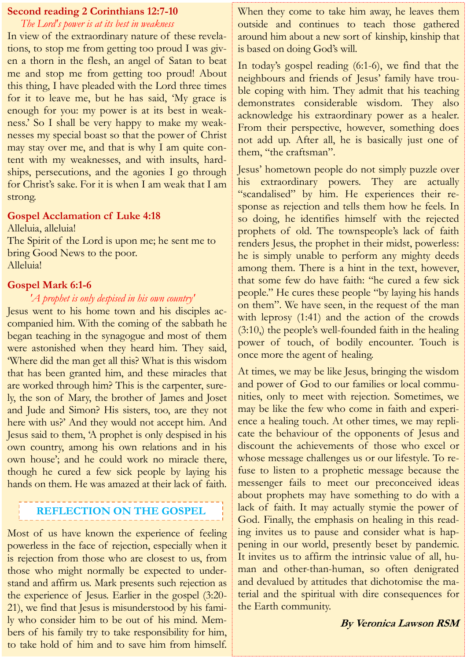#### **Second reading 2 Corinthians 12:7-10**

*The Lord's power is at its best in weakness*

In view of the extraordinary nature of these revelations, to stop me from getting too proud I was given a thorn in the flesh, an angel of Satan to beat me and stop me from getting too proud! About this thing, I have pleaded with the Lord three times for it to leave me, but he has said, 'My grace is enough for you: my power is at its best in weakness.' So I shall be very happy to make my weaknesses my special boast so that the power of Christ may stay over me, and that is why I am quite content with my weaknesses, and with insults, hardships, persecutions, and the agonies I go through for Christ's sake. For it is when I am weak that I am strong.

#### **Gospel Acclamation cf Luke 4:18**

Alleluia, alleluia! The Spirit of the Lord is upon me; he sent me to bring Good News to the poor. Alleluia!

#### **Gospel Mark 6:1-6**

*'A prophet is only despised in his own country'*

Jesus went to his home town and his disciples accompanied him. With the coming of the sabbath he began teaching in the synagogue and most of them were astonished when they heard him. They said, 'Where did the man get all this? What is this wisdom that has been granted him, and these miracles that are worked through him? This is the carpenter, surely, the son of Mary, the brother of James and Joset and Jude and Simon? His sisters, too, are they not here with us?' And they would not accept him. And Jesus said to them, 'A prophet is only despised in his own country, among his own relations and in his own house'; and he could work no miracle there, though he cured a few sick people by laying his hands on them. He was amazed at their lack of faith.

# **REFLECTION ON THE GOSPEL**

Most of us have known the experience of feeling powerless in the face of rejection, especially when it is rejection from those who are closest to us, from those who might normally be expected to understand and affirm us. Mark presents such rejection as the experience of Jesus. Earlier in the gospel (3:20- 21), we find that Jesus is misunderstood by his family who consider him to be out of his mind. Members of his family try to take responsibility for him, to take hold of him and to save him from himself.

When they come to take him away, he leaves them outside and continues to teach those gathered around him about a new sort of kinship, kinship that is based on doing God's will.

In today's gospel reading (6:1-6), we find that the neighbours and friends of Jesus' family have trouble coping with him. They admit that his teaching demonstrates considerable wisdom. They also acknowledge his extraordinary power as a healer. From their perspective, however, something does not add up. After all, he is basically just one of them, "the craftsman".

Jesus' hometown people do not simply puzzle over his extraordinary powers. They are actually "scandalised" by him. He experiences their response as rejection and tells them how he feels. In so doing, he identifies himself with the rejected prophets of old. The townspeople's lack of faith renders Jesus, the prophet in their midst, powerless: he is simply unable to perform any mighty deeds among them. There is a hint in the text, however, that some few do have faith: "he cured a few sick people." He cures these people "by laying his hands on them". We have seen, in the request of the man with leprosy (1:41) and the action of the crowds (3:10,) the people's well-founded faith in the healing power of touch, of bodily encounter. Touch is once more the agent of healing.

At times, we may be like Jesus, bringing the wisdom and power of God to our families or local communities, only to meet with rejection. Sometimes, we may be like the few who come in faith and experience a healing touch. At other times, we may replicate the behaviour of the opponents of Jesus and discount the achievements of those who excel or whose message challenges us or our lifestyle. To refuse to listen to a prophetic message because the messenger fails to meet our preconceived ideas about prophets may have something to do with a lack of faith. It may actually stymie the power of God. Finally, the emphasis on healing in this reading invites us to pause and consider what is happening in our world, presently beset by pandemic. It invites us to affirm the intrinsic value of all, human and other-than-human, so often denigrated and devalued by attitudes that dichotomise the material and the spiritual with dire consequences for the Earth community.

**By Veronica Lawson RSM**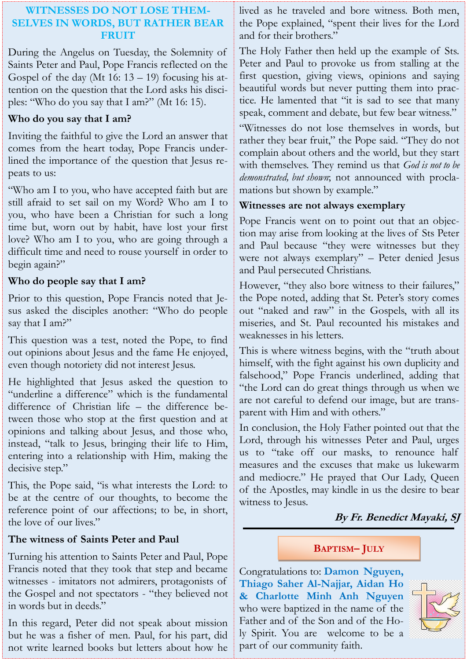# **WITNESSES DO NOT LOSE THEM-SELVES IN WORDS, BUT RATHER BEAR FRUIT**

During the Angelus on Tuesday, the Solemnity of Saints Peter and Paul, Pope Francis reflected on the Gospel of the day (Mt  $16: 13 - 19$ ) focusing his attention on the question that the Lord asks his disciples: "Who do you say that I am?" (Mt 16: 15).

# **Who do you say that I am?**

Inviting the faithful to give the Lord an answer that comes from the heart today, Pope Francis underlined the importance of the question that Jesus repeats to us:

"Who am I to you, who have accepted faith but are still afraid to set sail on my Word? Who am I to you, who have been a Christian for such a long time but, worn out by habit, have lost your first love? Who am I to you, who are going through a difficult time and need to rouse yourself in order to begin again?"

# **Who do people say that I am?**

Prior to this question, Pope Francis noted that Jesus asked the disciples another: "Who do people say that I am?"

This question was a test, noted the Pope, to find out opinions about Jesus and the fame He enjoyed, even though notoriety did not interest Jesus.

He highlighted that Jesus asked the question to "underline a difference" which is the fundamental difference of Christian life – the difference between those who stop at the first question and at opinions and talking about Jesus, and those who, instead, "talk to Jesus, bringing their life to Him, entering into a relationship with Him, making the decisive step."

This, the Pope said, "is what interests the Lord: to be at the centre of our thoughts, to become the reference point of our affections; to be, in short, the love of our lives."

# **The witness of Saints Peter and Paul**

Turning his attention to Saints Peter and Paul, Pope Francis noted that they took that step and became witnesses - imitators not admirers, protagonists of the Gospel and not spectators - "they believed not in words but in deeds."

In this regard, Peter did not speak about mission but he was a fisher of men. Paul, for his part, did not write learned books but letters about how he lived as he traveled and bore witness. Both men, the Pope explained, "spent their lives for the Lord and for their brothers."

The Holy Father then held up the example of Sts. Peter and Paul to provoke us from stalling at the first question, giving views, opinions and saying beautiful words but never putting them into practice. He lamented that "it is sad to see that many speak, comment and debate, but few bear witness."

"Witnesses do not lose themselves in words, but rather they bear fruit," the Pope said. "They do not complain about others and the world, but they start with themselves. They remind us that *God is not to be demonstrated, but shown*; not announced with proclamations but shown by example."

# **Witnesses are not always exemplary**

Pope Francis went on to point out that an objection may arise from looking at the lives of Sts Peter and Paul because "they were witnesses but they were not always exemplary" – Peter denied Jesus and Paul persecuted Christians.

However, "they also bore witness to their failures," the Pope noted, adding that St. Peter's story comes out "naked and raw" in the Gospels, with all its miseries, and St. Paul recounted his mistakes and weaknesses in his letters.

This is where witness begins, with the "truth about himself, with the fight against his own duplicity and falsehood," Pope Francis underlined, adding that "the Lord can do great things through us when we are not careful to defend our image, but are transparent with Him and with others."

In conclusion, the Holy Father pointed out that the Lord, through his witnesses Peter and Paul, urges us to "take off our masks, to renounce half measures and the excuses that make us lukewarm and mediocre." He prayed that Our Lady, Queen of the Apostles, may kindle in us the desire to bear witness to Jesus.

# **By Fr. Benedict Mayaki, SJ**

# **BAPTISM– JULY**

Congratulations to: **Damon Nguyen, Thiago Saher Al-Najjar, Aidan Ho & Charlotte Minh Anh Nguyen**  who were baptized in the name of the Father and of the Son and of the Holy Spirit. You are welcome to be a part of our community faith.